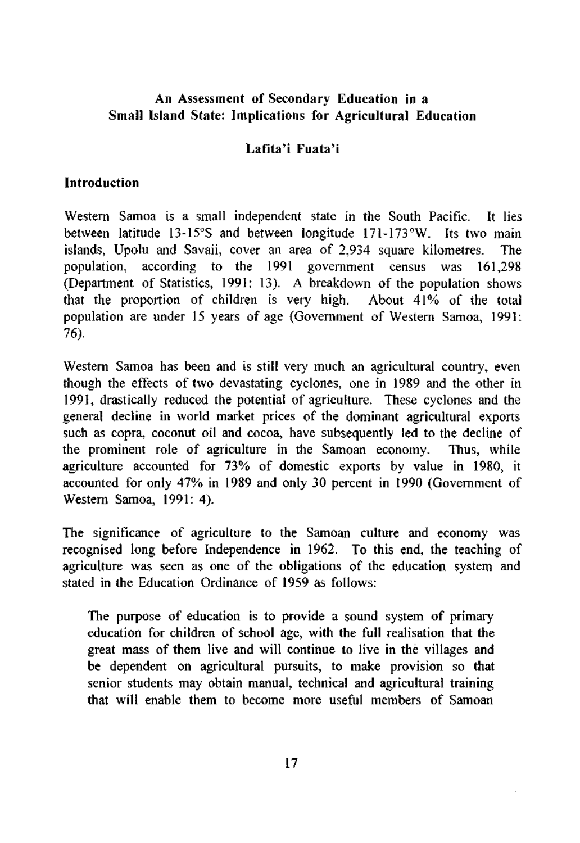## **An Assessment of Secondary Education in a Small Island State: Implications for Agricultural Education**

## **Lafita'i Fuata'i**

#### **Introduction**

Western Samoa is a small independent state in the South Pacific. It lies between latitude 13-15°S and between longitude 171-173°W. Its two main islands, Upolu and Savaii, cover an area of 2,934 square kilometres. The population, according to the 1991 government census was 161,298 (Department of Statistics, 1991: 13). A breakdown of the population shows that the proportion of children is very high. About 41% of the total population are under 15 years of age (Government of Western Samoa, 1991: 76).

Western Samoa has been and is still very much an agricultural country, even though the effects of two devastating cyclones, one in 1989 and the other in 1991, drastically reduced the potential of agriculture. These cyclones and the general decline in world market prices of the dominant agricultural exports such as copra, coconut oil and cocoa, have subsequently led to the decline of the prominent role of agriculture in the Samoan economy. Thus, while agriculture accounted for 73% of domestic exports by value in 1980, it accounted for only 47% in 1989 and only 30 percent in 1990 (Government of Western Samoa, 1991: 4).

The significance of agriculture to the Samoan culture and economy was recognised long before Independence in 1962. To this end, the teaching of agriculture was seen as one of the obligations of the education system and stated in the Education Ordinance of 1959 as follows:

The purpose of education is to provide a sound system of primary education for children of school age, with the full realisation that the great mass of them live and will continue to live in the villages and be dependent on agricultural pursuits, to make provision so that senior students may obtain manual, technical and agricultural training that will enable them to become more useful members of Samoan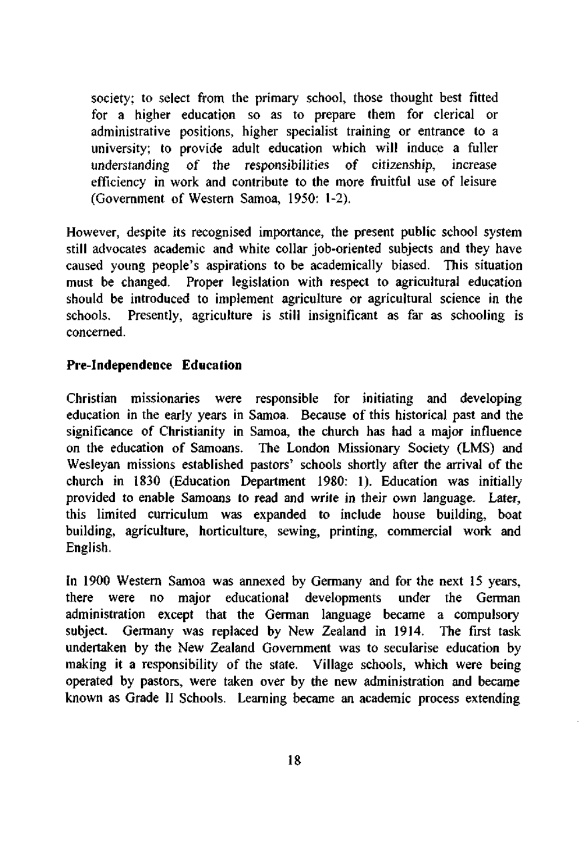society; to select from the primary school, those thought best fitted for a higher education so as to prepare them for clerical or administrative positions, higher specialist training or entrance to a university; to provide adult education which will induce a fuller understanding of the responsibilities of citizenship, increase efficiency in work and contribute to the more fruitful use of leisure (Government of Western Samoa, 1950: 1-2).

However, despite its recognised importance, the present public school system still advocates academic and white collar job-oriented subjects and they have caused young people's aspirations to be academically biased. This situation must be changed. Proper legislation with respect to agricultural education should be introduced to implement agriculture or agricultural science in the schools. Presently, agriculture is still insignificant as far as schooling is concerned.

## **Pre-Independence Education**

Christian missionaries were responsible for initiating and developing education in the early years in Samoa. Because of this historical past and the significance of Christianity in Samoa, the church has had a major influence on the education of Samoans. The London Missionary Society (LMS) and Wesleyan missions established pastors' schools shortly after the arrival of the church in 1830 (Education Department 1980: 1). Education was initially provided to enable Samoans to read and write in their own language. Later, this limited curriculum was expanded to include house building, boat building, agriculture, horticulture, sewing, printing, commercial work and English.

In 1900 Western Samoa was annexed by Germany and for the next 15 years, there were no major educational developments under the German administration except that the German language became a compulsory subject. Germany was replaced by New Zealand in 1914. The first task undertaken by the New Zealand Government was to secularise education by making it a responsibility of the state. Village schools, which were being operated by pastors, were taken over by the new administration and became known as Grade II Schools. Learning became an academic process extending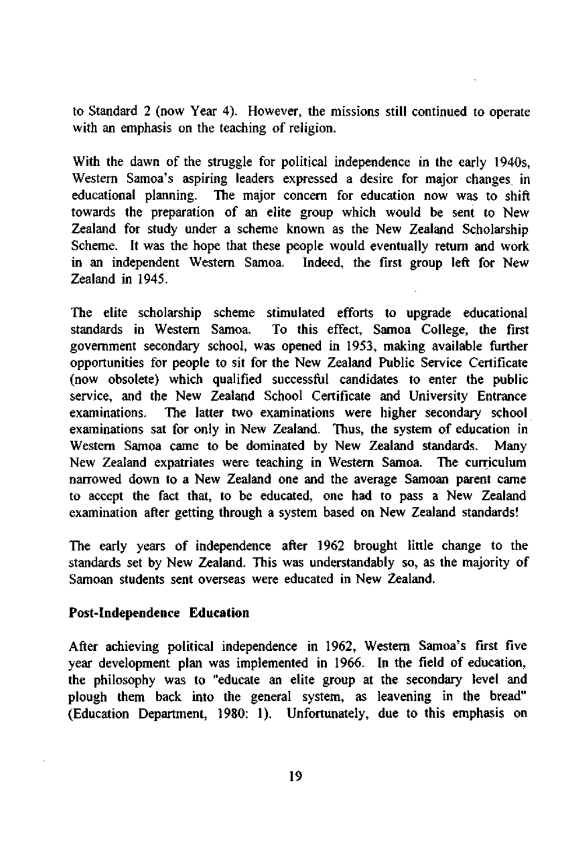to Standard 2 (now Year 4). However, the missions still continued to operate with an emphasis on the teaching of religion.

With the dawn of the struggle for political independence in the early 1940s, Western Samoa's aspiring leaders expressed a desire for major changes in educational planning. The major concern for education now was to shift towards the preparation of an elite group which would be sent to New Zealand for study under a scheme known as the New Zealand Scholarship Scheme. It was the hope that these people would eventually return and work in an independent Western Samoa. Indeed, the first group left for New Zealand in 1945.

The elite scholarship scheme stimulated efforts to upgrade educational standards in Western Samoa. To this effect, Samoa College, the first To this effect, Samoa College, the first government secondary school, was opened in 1953, making available further opportunities for people to sit for the New Zealand Public Service Certificate (now obsolete) which qualified successful candidates to enter the public service, and the New Zealand School Certificate and University Entrance examinations. The latter two examinations were higher secondary school examinations sat for only in New Zealand. Thus, the system of education in Western Samoa came to be dominated by New Zealand standards. Many New Zealand expatriates were teaching in Western Samoa. The curriculum narrowed down to a New Zealand one and the average Samoan parent came to accept the fact that, to be educated, one had to pass a New Zealand examination after getting through a system based on New Zealand standards!

The early years of independence after 1962 brought little change to the standards set by New Zealand. This was understandably so, as the majority of Samoan students sent overseas were educated in New Zealand.

#### **Post-Independence Education**

After achieving political independence in 1962, Western Samoa's first five year development plan was implemented in 1966. In the field of education, the philosophy was to "educate an elite group at the secondary level and plough them back into the general system, as leavening in the bread" (Education Department, 1980: 1). Unfortunately, due to this emphasis on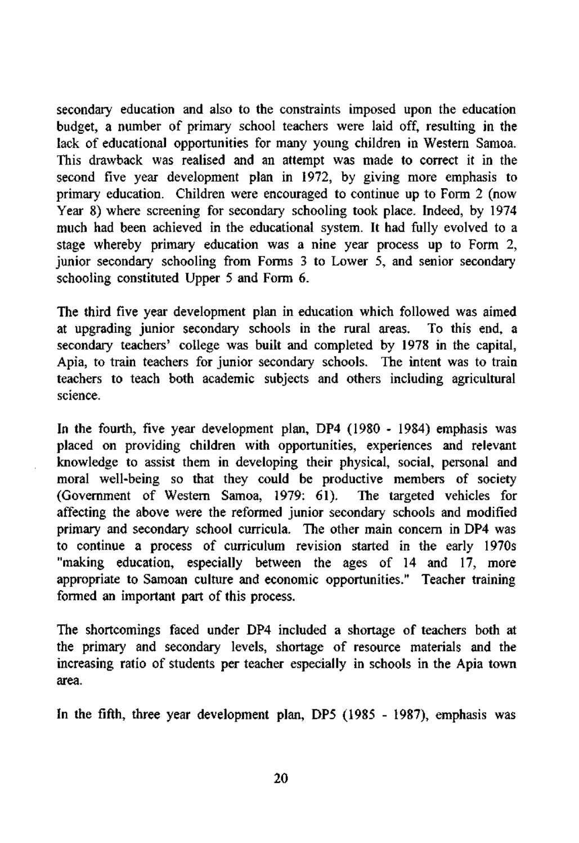secondary education and also to the constraints imposed upon the education budget, a number of primary school teachers were laid off, resulting in the lack of educational opportunities for many young children in Western Samoa. This drawback was realised and an attempt was made to correct it in the second five year development plan in 1972, by giving more emphasis to primary education. Children were encouraged to continue up to Form 2 (now Year 8) where screening for secondary schooling took place. Indeed, by 1974 much had been achieved in the educational system. It had fully evolved to a stage whereby primary education was a nine year process up to Form 2, junior secondary schooling from Forms 3 to Lower 5, and senior secondary schooling constituted Upper 5 and Form 6.

The third five year development plan in education which followed was aimed at upgrading junior secondary schools in the rural areas. To this end, a secondary teachers' college was built and completed by 1978 in the capital, Apia, to train teachers for junior secondary schools. The intent was to train teachers to teach both academic subjects and others including agricultural science.

In the fourth, five year development plan, DP4 (1980 - 1984) emphasis was placed on providing children with opportunities, experiences and relevant knowledge to assist them in developing their physical, social, personal and moral well-being so that they could be productive members of society (Government of Western Samoa, 1979: 61). The targeted vehicles for affecting the above were the reformed junior secondary schools and modified primary and secondary school curricula. The other main concern in DP4 was to continue a process of curriculum revision started in the early 1970s "making education, especially between the ages of 14 and 17, more appropriate to Samoan culture and economic opportunities." Teacher training formed an important part of this process.

The shortcomings faced under DP4 included a shortage of teachers both at the primary and secondary levels, shortage of resource materials and the increasing ratio of students per teacher especially in schools in the Apia town area.

In the fifth, three year development plan, DP5 (1985 - 1987), emphasis was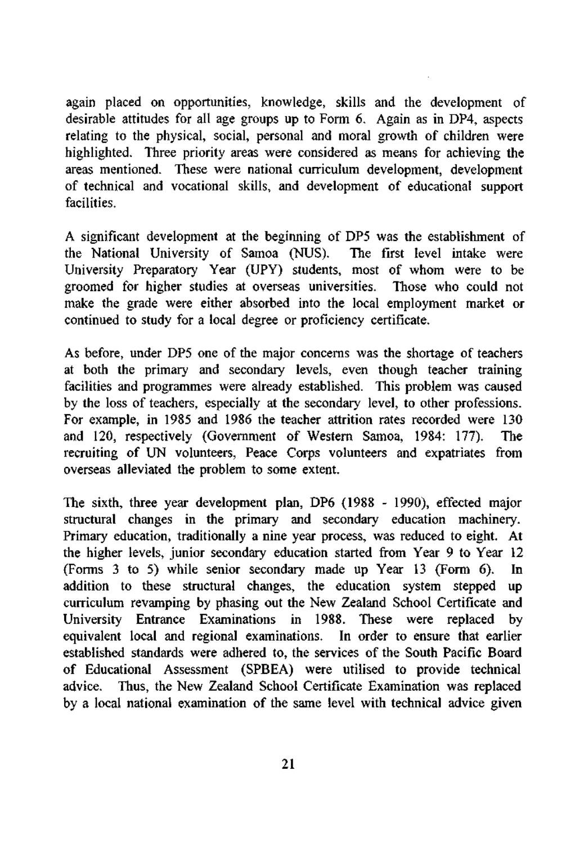again placed on opportunities, knowledge, skills and the development of desirable attitudes for all age groups up to Form 6. Again as in DP4, aspects relating to the physical, social, personal and moral growth of children were highlighted. Three priority areas were considered as means for achieving the areas mentioned. These were national curriculum development, development of technical and vocational skills, and development of educational support facilities.

A significant development at the beginning of DP5 was the establishment of the National University of Samoa (NUS). The first level intake were University Preparatory Year (UPY) students, most of whom were to be groomed for higher studies at overseas universities. Those who could not make the grade were either absorbed into the local employment market or continued to study for a local degree or proficiency certificate.

As before, under DP5 one of the major concerns was the shortage of teachers at both the primary and secondary levels, even though teacher training facilities and programmes were already established. This problem was caused by the loss of teachers, especially at the secondary level, to other professions. For example, in 1985 and 1986 the teacher attrition rates recorded were 130 and 120, respectively (Government of Western Samoa, 1984: 177). The recruiting of UN volunteers, Peace Corps volunteers and expatriates from overseas alleviated the problem to some extent.

The sixth, three year development plan, DP6 (1988 - 1990), effected major structural changes in the primary and secondary education machinery. Primary education, traditionally a nine year process, was reduced to eight. At the higher levels, junior secondary education started from Year 9 to Year 12 (Forms 3 to 5) while senior secondary made up Year 13 (Form 6). In addition to these structural changes, the education system stepped up curriculum revamping by phasing out the New Zealand School Certificate and University Entrance Examinations in 1988. These were replaced by equivalent local and regional examinations. In order to ensure that earlier established standards were adhered to, the services of the South Pacific Board of Educational Assessment (SPBEA) were utilised to provide technical advice. Thus, the New Zealand School Certificate Examination was replaced by a local national examination of the same level with technical advice given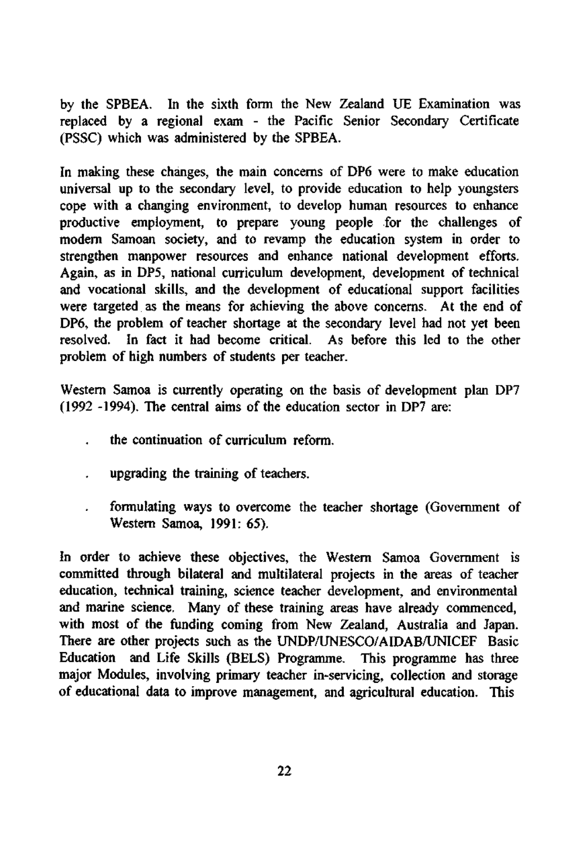by the SPBEA. In the sixth form the New Zealand UE Examination was replaced by a regional exam - the Pacific Senior Secondary Certificate (PSSC) which was administered by the SPBEA.

In making these changes, the main concerns of DP6 were to make education universal up to the secondary level, to provide education to help youngsters cope with a changing environment, to develop human resources to enhance productive employment, to prepare young people for the challenges of modern Samoan society, and to revamp the education system in order to strengthen manpower resources and enhance national development efforts. Again, as in DP5, national curriculum development, development of technical and vocational skills, and the development of educational support facilities were targeted as the means for achieving the above concerns. At the end of DP6, the problem of teacher shortage at the secondary level had not yet been resolved. In fact it had become critical. As before this led to the other problem of high numbers of students per teacher.

Western Samoa is currently operating on the basis of development plan DP7 (1992 -1994). The central aims of the education sector in DP7 are:

- the continuation of curriculum reform.
- upgrading the training of teachers.
- formulating ways to overcome the teacher shortage (Government of Western Samoa, 1991: 65).

In order to achieve these objectives, the Western Samoa Government is committed through bilateral and multilateral projects in the areas of teacher education, technical training, science teacher development, and environmental and marine science. Many of these training areas have already commenced, with most of the funding coming from New Zealand, Australia and Japan. There are other projects such as the UNDP/UNESCO/AIDAB/UNICEF Basic Education and Life Skills (BELS) Programme. This programme has three major Modules, involving primary teacher in-servicing, collection and storage of educational data to improve management, and agricultural education. This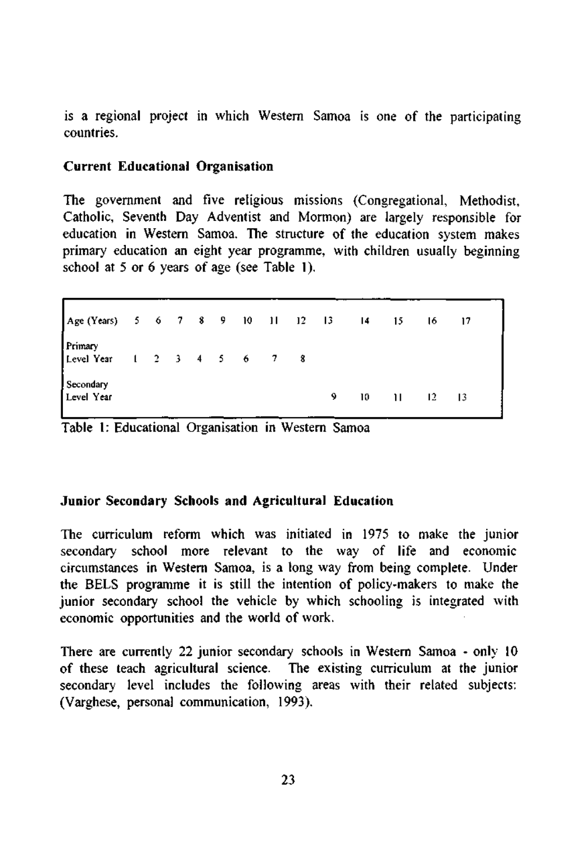is a regional project in which Western Samoa is one of the participating countries.

#### **Current Educational Organisation**

The government and five religious missions (Congregational, Methodist, Catholic, Seventh Day Adventist and Mormon) are largely responsible for education in Western Samoa. The structure of the education system makes primary education an eight year programme, with children usually beginning school at 5 or 6 years of age (see Table 1).

Age (Years) Primary Level Year **Secondary** Level Year 5 1 6 2 7 3 8 4 9 5 10 6 11 7 12 8 13 9 14 10 15 11 16 12 17 13

Table 1: Educational Organisation in Western Samoa

#### **Junior Secondary Schools and Agricultural Education**

The curriculum reform which was initiated in 1975 to make the junior secondary school more relevant to the way of life and economic circumstances in Western Samoa, is a long way from being complete. Under the BELS programme it is still the intention of policy-makers to make the junior secondary school the vehicle by which schooling is integrated with economic opportunities and the world of work.

There are currently 22 junior secondary schools in Western Samoa - only 10 of these teach agricultural science. The existing curriculum at the junior secondary level includes the following areas with their related subjects: (Varghese, personal communication, 1993).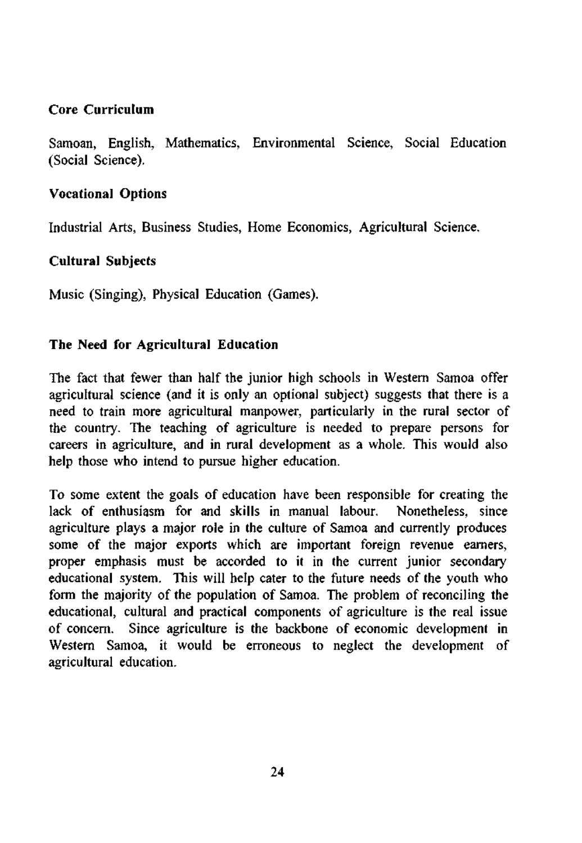## **Core Curriculum**

Samoan, English, Mathematics, Environmental Science, Social Education (Social Science).

## **Vocational Options**

Industrial Arts, Business Studies, Home Economics, Agricultural Science.

# **Cultural Subjects**

Music (Singing), Physical Education (Games).

## **The Need for Agricultural Education**

The fact that fewer than half the junior high schools in Western Samoa offer agricultural science (and it is only an optional subject) suggests that there is a need to train more agricultural manpower, particularly in the rural sector of the country. The teaching of agriculture is needed to prepare persons for careers in agriculture, and in rural development as a whole. This would also help those who intend to pursue higher education.

To some extent the goals of education have been responsible for creating the lack of enthusiasm for and skills in manual labour. Nonetheless, since agriculture plays a major role in the culture of Samoa and currently produces some of the major exports which are important foreign revenue earners, proper emphasis must be accorded to it in the current junior secondary educational system. This will help cater to the future needs of the youth who form the majority of the population of Samoa. The problem of reconciling the educational, cultural and practical components of agriculture is the real issue of concern. Since agriculture is the backbone of economic development in Western Samoa, it would be erroneous to neglect the development of agricultural education.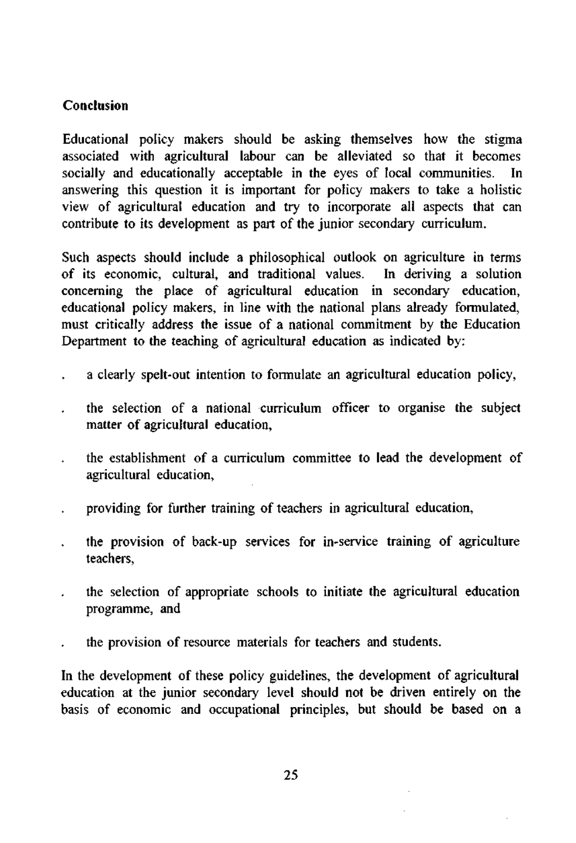# **Conclusion**

Educational policy makers should be asking themselves how the stigma associated with agricultural labour can be alleviated so that it becomes socially and educationally acceptable in the eyes of local communities. In answering this question it is important for policy makers to take a holistic view of agricultural education and try to incorporate all aspects that can contribute to its development as part of the junior secondary curriculum.

Such aspects should include a philosophical outlook on agriculture in terms of its economic, cultural, and traditional values. In deriving a solution of its economic, cultural, and traditional values. concerning the place of agricultural education in secondary education, educational policy makers, in line with the national plans already formulated, must critically address the issue of a national commitment by the Education Department to the teaching of agricultural education as indicated by:

- a clearly spelt-out intention to formulate an agricultural education policy,
- the selection of a national curriculum officer to organise the subject matter of agricultural education,
- the establishment of a curriculum committee to lead the development of agricultural education,
- providing for further training of teachers in agricultural education,
- the provision of back-up services for in-service training of agriculture teachers,
- the selection of appropriate schools to initiate the agricultural education programme, and
- the provision of resource materials for teachers and students.

In the development of these policy guidelines, the development of agricultural education at the junior secondary level should not be driven entirely on the basis of economic and occupational principles, but should be based on a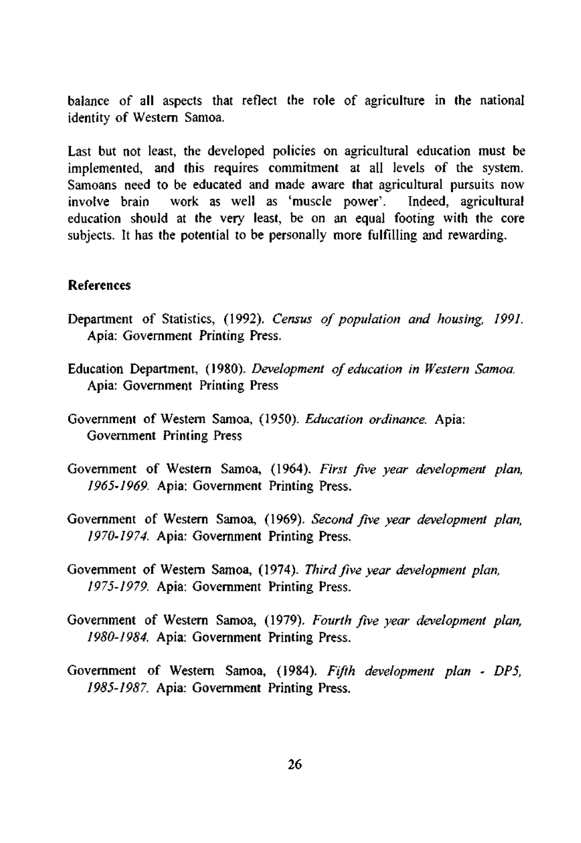balance of all aspects that reflect the role of agriculture in the national identity of Western Samoa.

Last but not least, the developed policies on agricultural education must be implemented, and this requires commitment at all levels of the system. Samoans need to be educated and made aware that agricultural pursuits now<br>involve brain work as well as 'muscle power'. Indeed, agricultural involve brain work as well as 'muscle power'. education should at the very least, be on an equal footing with the core subjects. It has the potential to be personally more fulfilling and rewarding.

#### **References**

- Department of Statistics, (1992). *Census of population and housing, 1991.*  Apia: Government Printing Press.
- Education Department, (1980). *Development of education in Western Samoa.*  Apia: Government Printing Press
- Government of Western Samoa, (1950). *Education ordinance.* Apia: Government Printing Press
- Government of Western Samoa, (1964). *First five year development plan, 1965-1969.* Apia: Government Printing Press.
- Government of Western Samoa, (1969). *Second five year development plan, 1970-1974.* Apia: Government Printing Press.
- Government of Western Samoa, (1974). *Third five year development plan, 1975-1979.* Apia: Government Printing Press.
- Government of Western Samoa, (1979). *Fourth five year development plan, 1980-1984.* Apia: Government Printing Press.
- Government of Western Samoa, (1984). *Fifth development plan DPS, 1985-1987.* Apia: Government Printing Press.